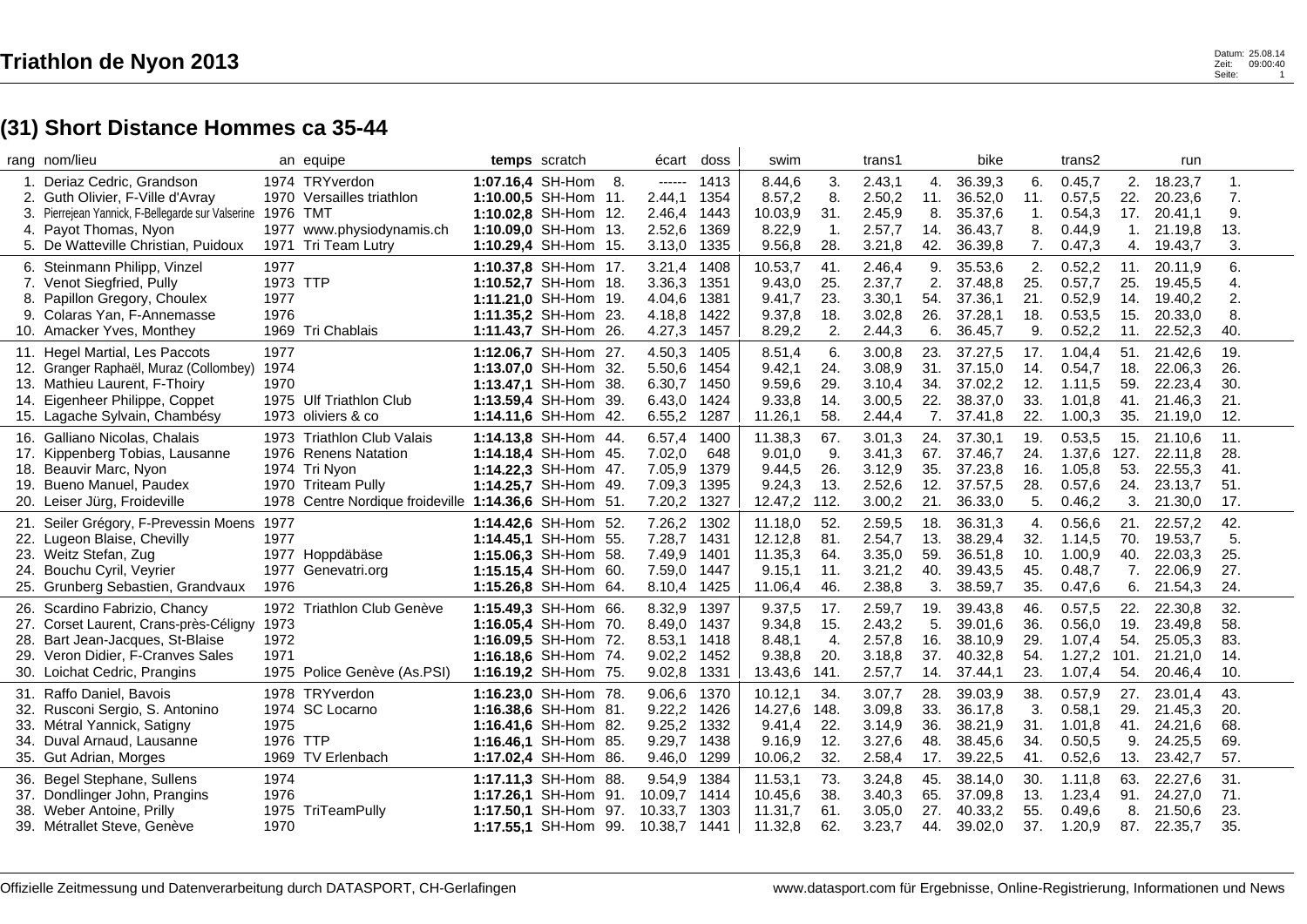|    | rang nom/lieu                                           |          | an equipe                                             | temps scratch        |     | écart   | doss | swim    |                | trans1 |     | bike    |     | trans2  |      | run     |     |
|----|---------------------------------------------------------|----------|-------------------------------------------------------|----------------------|-----|---------|------|---------|----------------|--------|-----|---------|-----|---------|------|---------|-----|
|    | 1. Deriaz Cedric, Grandson                              |          | 1974 TRYverdon                                        | 1:07.16,4 SH-Hom     | 8.  | ------  | 1413 | 8.44,6  | 3.             | 2.43,1 | 4.  | 36.39,3 | 6.  | 0.45,7  | 2.   | 18.23,7 | 1.  |
|    | Guth Olivier, F-Ville d'Avray                           |          | 1970 Versailles triathlon                             | 1:10.00,5 SH-Hom 11. |     | 2.44,1  | 1354 | 8.57,2  | 8.             | 2.50,2 | 11. | 36.52,0 | 11. | 0.57,5  | 22.  | 20.23,6 | 7.  |
| 3. | Pierrejean Yannick, F-Bellegarde sur Valserine 1976 TMT |          |                                                       | 1:10.02,8 SH-Hom 12. |     | 2.46,4  | 1443 | 10.03,9 | 31.            | 2.45,9 | 8.  | 35.37,6 | 1.  | 0.54,3  | 17.  | 20.41,1 | 9.  |
| 4. | Payot Thomas, Nyon                                      | 1977     | www.physiodynamis.ch                                  | 1:10.09.0 SH-Hom 13. |     | 2.52,6  | 1369 | 8.22,9  | $\mathbf{1}$ . | 2.57,7 | 14. | 36.43,7 | 8.  | 0.44,9  | 1.   | 21.19,8 | 13. |
|    | 5. De Watteville Christian, Puidoux                     | 1971     | Tri Team Lutry                                        | 1:10.29,4 SH-Hom 15. |     | 3.13,0  | 1335 | 9.56,8  | 28.            | 3.21,8 | 42. | 36.39,8 | 7.  | 0.47,3  | 4.   | 19.43,7 | 3.  |
|    | 6. Steinmann Philipp, Vinzel                            | 1977     |                                                       | 1:10.37,8 SH-Hom 17. |     | 3.21,4  | 1408 | 10.53,7 | 41.            | 2.46.4 | 9.  | 35.53,6 | 2.  | 0.52,2  | 11.  | 20.11.9 | 6.  |
|    | 7. Venot Siegfried, Pully                               | 1973 TTP |                                                       | 1:10.52,7 SH-Hom 18. |     | 3.36,3  | 1351 | 9.43,0  | 25.            | 2.37,7 | 2.  | 37.48,8 | 25. | 0.57,7  | 25.  | 19.45,5 | 4.  |
| 8. | Papillon Gregory, Choulex                               | 1977     |                                                       | 1:11.21,0 SH-Hom 19. |     | 4.04,6  | 1381 | 9.41,7  | 23.            | 3.30,1 | 54. | 37.36,1 | 21. | 0.52,9  | 14.  | 19.40,2 | 2.  |
| 9. | Colaras Yan, F-Annemasse                                | 1976     |                                                       | 1:11.35,2 SH-Hom 23. |     | 4.18,8  | 1422 | 9.37,8  | 18.            | 3.02,8 | 26. | 37.28,1 | 18. | 0.53,5  | 15.  | 20.33,0 | 8.  |
|    | 10. Amacker Yves, Monthey                               |          | 1969 Tri Chablais                                     | 1:11.43,7 SH-Hom 26. |     | 4.27,3  | 1457 | 8.29,2  | 2.             | 2.44,3 | 6.  | 36.45,7 | 9.  | 0.52,2  | 11.  | 22.52,3 | 40. |
|    | 11. Hegel Martial, Les Paccots                          | 1977     |                                                       | 1:12.06,7 SH-Hom 27. |     | 4.50,3  | 1405 | 8.51,4  | 6.             | 3.00,8 | 23. | 37.27,5 | 17. | 1.04,4  | 51.  | 21.42,6 | 19. |
|    | 12. Granger Raphaël, Muraz (Collombey)                  | 1974     |                                                       | 1:13.07,0 SH-Hom 32. |     | 5.50,6  | 1454 | 9.42,1  | 24.            | 3.08,9 | 31. | 37.15,0 | 14. | 0.54,7  | 18.  | 22.06,3 | 26. |
|    | 13. Mathieu Laurent, F-Thoiry                           | 1970     |                                                       | 1:13.47,1 SH-Hom 38. |     | 6.30,7  | 1450 | 9.59,6  | 29.            | 3.10,4 | 34. | 37.02,2 | 12. | 1.11,5  | 59.  | 22.23,4 | 30. |
|    | 14. Eigenheer Philippe, Coppet                          |          | 1975 Ulf Triathlon Club                               | 1:13.59,4 SH-Hom 39. |     | 6.43,0  | 1424 | 9.33,8  | 14.            | 3.00,5 | 22. | 38.37,0 | 33. | 1.01,8  | 41.  | 21.46,3 | 21. |
|    | 15. Lagache Sylvain, Chambésy                           |          | 1973 oliviers & co                                    | 1:14.11,6 SH-Hom 42. |     | 6.55,2  | 1287 | 11.26,1 | 58.            | 2.44,4 | 7.  | 37.41,8 | 22. | 1.00,3  | 35.  | 21.19,0 | 12. |
|    | 16. Galliano Nicolas, Chalais                           |          | 1973 Triathlon Club Valais                            | 1:14.13,8 SH-Hom 44. |     | 6.57,4  | 1400 | 11.38,3 | 67.            | 3.01,3 | 24. | 37.30,1 | 19. | 0.53,5  | 15.  | 21.10,6 | 11. |
|    | 17. Kippenberg Tobias, Lausanne                         |          | 1976 Renens Natation                                  | 1:14.18,4 SH-Hom 45. |     | 7.02,0  | 648  | 9.01,0  | 9.             | 3.41,3 | 67. | 37.46,7 | 24. | 1.37,6  | 127. | 22.11,8 | 28. |
|    | 18. Beauvir Marc, Nyon                                  |          | 1974 Tri Nyon                                         | 1:14.22,3 SH-Hom 47. |     | 7.05,9  | 1379 | 9.44,5  | 26.            | 3.12,9 | 35. | 37.23,8 | 16. | 1.05,8  | 53.  | 22.55,3 | 41. |
|    | 19. Bueno Manuel, Paudex                                |          | 1970 Triteam Pully                                    | 1:14.25.7 SH-Hom 49. |     | 7.09,3  | 1395 | 9.24,3  | 13.            | 2.52,6 | 12. | 37.57,5 | 28. | 0.57,6  | 24.  | 23.13,7 | 51. |
|    | 20. Leiser Jürg, Froideville                            |          | 1978 Centre Nordique froideville 1:14.36,6 SH-Hom 51. |                      |     | 7.20,2  | 1327 | 12.47,2 | 112.           | 3.00,2 | 21. | 36.33,0 | 5.  | 0.46,2  | 3.   | 21.30,0 | 17. |
|    | 21. Seiler Grégory, F-Prevessin Moens 1977              |          |                                                       | 1:14.42,6 SH-Hom 52. |     | 7.26,2  | 1302 | 11.18,0 | 52.            | 2.59,5 | 18. | 36.31,3 | 4.  | 0.56,6  | 21.  | 22.57,2 | 42. |
|    | 22. Lugeon Blaise, Chevilly                             | 1977     |                                                       | 1:14.45,1 SH-Hom 55. |     | 7.28,7  | 1431 | 12.12,8 | 81.            | 2.54,7 | 13. | 38.29,4 | 32. | 1.14,5  | 70.  | 19.53,7 | 5.  |
|    | 23. Weitz Stefan, Zug                                   |          | 1977 Hoppdäbäse                                       | 1:15.06,3 SH-Hom 58. |     | 7.49,9  | 1401 | 11.35,3 | 64.            | 3.35,0 | 59. | 36.51,8 | 10. | 1.00,9  | 40.  | 22.03,3 | 25. |
|    | 24. Bouchu Cyril, Veyrier                               |          | 1977 Genevatri.org                                    | 1:15.15,4 SH-Hom 60. |     | 7.59,0  | 1447 | 9.15,1  | 11.            | 3.21,2 | 40. | 39.43,5 | 45. | 0.48,7  | 7.   | 22.06,9 | 27. |
|    | 25. Grunberg Sebastien, Grandvaux                       | 1976     |                                                       | 1:15.26,8 SH-Hom 64. |     | 8.10,4  | 1425 | 11.06,4 | 46.            | 2.38,8 | 3.  | 38.59,7 | 35. | 0.47,6  | 6.   | 21.54,3 | 24. |
|    | 26. Scardino Fabrizio, Chancy                           |          | 1972 Triathlon Club Genève                            | 1:15.49,3 SH-Hom 66. |     | 8.32,9  | 1397 | 9.37,5  | 17.            | 2.59,7 | 19. | 39.43,8 | 46. | 0.57,5  | 22.  | 22.30,8 | 32. |
|    | 27. Corset Laurent, Crans-près-Céligny                  | 1973     |                                                       | 1:16.05,4 SH-Hom 70. |     | 8.49,0  | 1437 | 9.34,8  | 15.            | 2.43,2 | 5.  | 39.01,6 | 36. | 0.56,0  | 19.  | 23.49,8 | 58. |
|    | 28. Bart Jean-Jacques, St-Blaise                        | 1972     |                                                       | 1:16.09,5 SH-Hom 72. |     | 8.53,1  | 1418 | 8.48,1  | 4.             | 2.57,8 | 16. | 38.10,9 | 29. | 1.07,4  | 54.  | 25.05,3 | 83. |
|    | 29. Veron Didier, F-Cranves Sales                       | 1971     |                                                       | 1:16.18,6 SH-Hom 74. |     | 9.02,2  | 1452 | 9.38,8  | 20.            | 3.18,8 | 37. | 40.32,8 | 54. | 1.27,2  | 101. | 21.21,0 | 14. |
|    | 30. Loichat Cedric, Prangins                            |          | 1975 Police Genève (As.PSI)                           | 1:16.19,2 SH-Hom 75. |     | 9.02,8  | 1331 | 13.43,6 | 141.           | 2.57,7 | 14. | 37.44,1 | 23. | 1.07,4  | 54.  | 20.46,4 | 10. |
|    | 31. Raffo Daniel, Bavois                                |          | 1978 TRYverdon                                        | 1:16.23,0 SH-Hom 78. |     | 9.06,6  | 1370 | 10.12,1 | 34.            | 3.07,7 | 28. | 39.03,9 | 38. | 0.57,9  | 27.  | 23.01,4 | 43. |
|    | 32. Rusconi Sergio, S. Antonino                         |          | 1974 SC Locarno                                       | 1:16.38,6 SH-Hom 81. |     | 9.22,2  | 1426 | 14.27,6 | 148.           | 3.09,8 | 33. | 36.17,8 | 3.  | 0.58,1  | 29.  | 21.45,3 | 20. |
|    | 33. Métral Yannick, Satigny                             | 1975     |                                                       | 1:16.41,6 SH-Hom 82. |     | 9.25,2  | 1332 | 9.41.4  | 22.            | 3.14,9 | 36. | 38.21,9 | 31. | 1.01,8  | 41.  | 24.21,6 | 68. |
|    | 34. Duval Arnaud, Lausanne                              | 1976 TTP |                                                       | 1:16.46,1 SH-Hom 85. |     | 9.29,7  | 1438 | 9.16,9  | 12.            | 3.27,6 | 48. | 38.45,6 | 34. | 0.50,5  | 9.   | 24.25,5 | 69. |
|    | 35. Gut Adrian, Morges                                  |          | 1969 TV Erlenbach                                     | 1:17.02,4 SH-Hom     | 86. | 9.46,0  | 1299 | 10.06,2 | 32.            | 2.58,4 | 17. | 39.22,5 | 41. | 0.52, 6 | 13.  | 23.42,7 | 57. |
|    | 36. Begel Stephane, Sullens                             | 1974     |                                                       | 1:17.11,3 SH-Hom 88. |     | 9.54,9  | 1384 | 11.53,1 | 73.            | 3.24,8 | 45. | 38.14,0 | 30. | 1.11,8  | 63.  | 22.27,6 | 31. |
|    | 37. Dondlinger John, Prangins                           | 1976     |                                                       | 1:17.26,1 SH-Hom 91. |     | 10.09,7 | 1414 | 10.45,6 | 38.            | 3.40,3 | 65. | 37.09,8 | 13. | 1.23,4  | 91.  | 24.27,0 | 71. |
|    | 38. Weber Antoine, Prilly                               |          | 1975 TriTeamPully                                     | 1:17.50,1 SH-Hom 97. |     | 10.33,7 | 1303 | 11.31,7 | 61.            | 3.05,0 | 27. | 40.33,2 | 55. | 0.49,6  | 8.   | 21.50,6 | 23. |
|    | 39. Métrallet Steve, Genève                             | 1970     |                                                       | 1:17.55,1 SH-Hom 99. |     | 10.38,7 | 1441 | 11.32,8 | 62.            | 3.23,7 | 44. | 39.02,0 | 37. | 1.20,9  | 87.  | 22.35,7 | 35. |
|    |                                                         |          |                                                       |                      |     |         |      |         |                |        |     |         |     |         |      |         |     |

 $\overline{1}$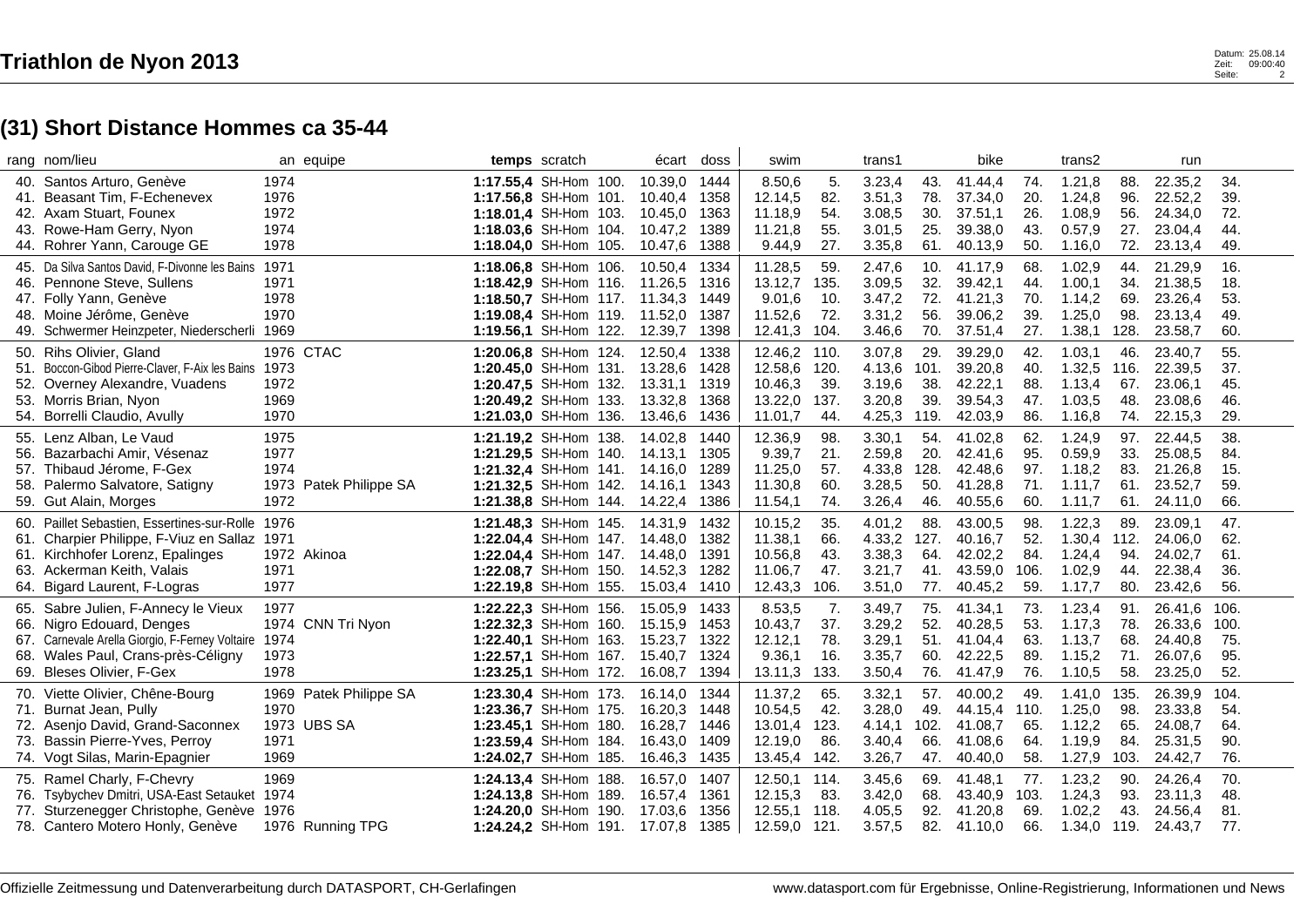|     | rang nom/lieu                                        |      | an equipe         | temps scratch                        |  | écart   | doss | swim    |      | trans1 |      | bike    |      | trans2 |      | run     |      |
|-----|------------------------------------------------------|------|-------------------|--------------------------------------|--|---------|------|---------|------|--------|------|---------|------|--------|------|---------|------|
|     | 40. Santos Arturo, Genève                            | 1974 |                   | 1:17.55,4 SH-Hom 100.                |  | 10.39,0 | 1444 | 8.50,6  | 5.   | 3.23,4 | 43.  | 41.44,4 | 74.  | 1.21,8 | 88.  | 22.35,2 | 34.  |
| 41. | Beasant Tim, F-Echenevex                             | 1976 |                   | 1:17.56,8 SH-Hom 101.                |  | 10.40,4 | 1358 | 12.14,5 | 82.  | 3.51,3 | 78.  | 37.34,0 | 20.  | 1.24,8 | 96.  | 22.52,2 | 39.  |
|     | 42. Axam Stuart, Founex                              | 1972 |                   | 1:18.01,4 SH-Hom 103.                |  | 10.45.0 | 1363 | 11.18,9 | 54.  | 3.08,5 | 30.  | 37.51,1 | 26.  | 1.08,9 | 56.  | 24.34,0 | 72.  |
|     | 43. Rowe-Ham Gerry, Nyon                             | 1974 |                   | 1:18.03.6 SH-Hom 104.                |  | 10.47,2 | 1389 | 11.21,8 | 55.  | 3.01,5 | 25.  | 39.38,0 | 43.  | 0.57,9 | 27.  | 23.04,4 | 44.  |
|     | 44. Rohrer Yann, Carouge GE                          | 1978 |                   | 1:18.04,0 SH-Hom 105.                |  | 10.47,6 | 1388 | 9.44,9  | 27.  | 3.35,8 | 61.  | 40.13,9 | 50.  | 1.16,0 | 72.  | 23.13,4 | 49.  |
|     | 45. Da Silva Santos David. F-Divonne les Bains 1971  |      |                   | 1:18.06.8 SH-Hom 106.                |  | 10.50.4 | 1334 | 11.28,5 | 59.  | 2.47,6 | 10.  | 41.17.9 | 68.  | 1.02,9 | 44.  | 21.29,9 | 16.  |
|     | 46. Pennone Steve, Sullens                           | 1971 |                   | 1:18.42,9 SH-Hom 116.                |  | 11.26,5 | 1316 | 13.12,7 | 135. | 3.09,5 | 32.  | 39.42,1 | 44.  | 1.00,1 | 34.  | 21.38,5 | 18.  |
|     | 47. Folly Yann, Genève                               | 1978 |                   | 1:18.50,7 SH-Hom 117.                |  | 11.34,3 | 1449 | 9.01,6  | 10.  | 3.47,2 | 72.  | 41.21,3 | 70.  | 1.14,2 | 69.  | 23.26,4 | 53.  |
|     | 48. Moine Jérôme, Genève                             | 1970 |                   | 1:19.08,4 SH-Hom 119.                |  | 11.52,0 | 1387 | 11.52,6 | 72.  | 3.31,2 | 56.  | 39.06,2 | 39.  | 1.25,0 | 98.  | 23.13,4 | 49.  |
|     | 49. Schwermer Heinzpeter, Niederscherli 1969         |      |                   | 1:19.56,1 SH-Hom 122.                |  | 12.39,7 | 1398 | 12.41,3 | 104. | 3.46,6 | 70.  | 37.51,4 | 27.  | 1.38,1 | 128. | 23.58,7 | 60.  |
| 50. | Rihs Olivier, Gland                                  |      | 1976 CTAC         | 1:20.06,8 SH-Hom 124.                |  | 12.50,4 | 1338 | 12.46,2 | 110. | 3.07,8 | 29.  | 39.29,0 | 42.  | 1.03,1 | 46.  | 23.40,7 | 55.  |
|     | 51. Boccon-Gibod Pierre-Claver, F-Aix les Bains      | 1973 |                   | 1:20.45,0 SH-Hom 131. 13.28,6        |  |         | 1428 | 12.58,6 | 120. | 4.13,6 | 101. | 39.20,8 | 40.  | 1.32,5 | 116. | 22.39,5 | 37.  |
|     | 52. Overney Alexandre, Vuadens                       | 1972 |                   | <b>1:20.47,5 SH-Hom 132. 13.31,1</b> |  |         | 1319 | 10.46,3 | 39.  | 3.19,6 | 38.  | 42.22,1 | 88.  | 1.13,4 | 67.  | 23.06,1 | 45.  |
|     | 53. Morris Brian, Nyon                               | 1969 |                   | 1:20.49,2 SH-Hom 133.                |  | 13.32,8 | 1368 | 13.22,0 | 137. | 3.20,8 | 39.  | 39.54,3 | 47.  | 1.03,5 | 48.  | 23.08,6 | 46.  |
|     | 54. Borrelli Claudio, Avully                         | 1970 |                   | 1:21.03,0 SH-Hom 136.                |  | 13.46,6 | 1436 | 11.01,7 | 44.  | 4.25,3 | 119. | 42.03,9 | 86.  | 1.16,8 | 74.  | 22.15,3 | 29.  |
|     | 55. Lenz Alban, Le Vaud                              | 1975 |                   | 1:21.19,2 SH-Hom 138.                |  | 14.02,8 | 1440 | 12.36,9 | 98.  | 3.30,1 | 54.  | 41.02,8 | 62.  | 1.24,9 | 97.  | 22.44,5 | 38.  |
|     | 56. Bazarbachi Amir. Vésenaz                         | 1977 |                   | 1:21.29,5 SH-Hom 140.                |  | 14.13.1 | 1305 | 9.39,7  | 21.  | 2.59,8 | 20.  | 42.41,6 | 95.  | 0.59,9 | 33.  | 25.08.5 | 84.  |
|     | 57. Thibaud Jérome, F-Gex                            | 1974 |                   | 1:21.32,4 SH-Hom 141. 14.16,0        |  |         | 1289 | 11.25,0 | 57.  | 4.33,8 | 128. | 42.48.6 | 97.  | 1.18,2 | 83.  | 21.26,8 | 15.  |
|     | 58. Palermo Salvatore, Satigny                       | 1973 | Patek Philippe SA | 1:21.32,5 SH-Hom 142.                |  | 14.16.1 | 1343 | 11.30,8 | 60.  | 3.28,5 | 50.  | 41.28,8 | 71.  | 1.11,7 | 61.  | 23.52,7 | 59.  |
|     | 59. Gut Alain, Morges                                | 1972 |                   | 1:21.38,8 SH-Hom 144.                |  | 14.22,4 | 1386 | 11.54,1 | 74.  | 3.26,4 | 46.  | 40.55,6 | 60.  | 1.11,7 | 61.  | 24.11,0 | 66.  |
|     | 60. Paillet Sebastien, Essertines-sur-Rolle 1976     |      |                   | 1:21.48,3 SH-Hom 145.                |  | 14.31,9 | 1432 | 10.15,2 | 35.  | 4.01,2 | 88.  | 43.00,5 | 98.  | 1.22,3 | 89.  | 23.09,1 | 47.  |
|     | 61. Charpier Philippe, F-Viuz en Sallaz 1971         |      |                   | 1:22.04.4 SH-Hom 147. 14.48.0        |  |         | 1382 | 11.38,1 | 66.  | 4.33,2 | 127. | 40.16,7 | 52.  | 1.30,4 | 112. | 24.06.0 | 62.  |
|     | 61. Kirchhofer Lorenz, Epalinges                     |      | 1972 Akinoa       | 1:22.04,4 SH-Hom 147.                |  | 14.48,0 | 1391 | 10.56,8 | 43.  | 3.38,3 | 64.  | 42.02,2 | 84.  | 1.24,4 | 94.  | 24.02,7 | 61.  |
|     | 63. Ackerman Keith, Valais                           | 1971 |                   | 1:22.08.7 SH-Hom 150.                |  | 14.52.3 | 1282 | 11.06,7 | 47.  | 3.21,7 | 41.  | 43.59.0 | 106. | 1.02,9 | 44.  | 22.38.4 | 36.  |
|     | 64. Bigard Laurent, F-Logras                         | 1977 |                   | 1:22.19,8 SH-Hom 155.                |  | 15.03,4 | 1410 | 12.43,3 | 106. | 3.51,0 | 77.  | 40.45,2 | 59.  | 1.17,7 | 80.  | 23.42,6 | 56.  |
|     | 65. Sabre Julien, F-Annecy le Vieux                  | 1977 |                   | 1:22.22.3 SH-Hom 156.                |  | 15.05,9 | 1433 | 8.53,5  | 7.   | 3.49,7 | 75.  | 41.34,1 | 73.  | 1.23,4 | 91.  | 26.41,6 | 106. |
|     | 66. Nigro Edouard, Denges                            |      | 1974 CNN Tri Nyon | 1:22.32,3 SH-Hom 160.                |  | 15.15,9 | 1453 | 10.43,7 | 37.  | 3.29,2 | 52.  | 40.28,5 | 53.  | 1.17,3 | 78.  | 26.33,6 | 100. |
|     | 67. Carnevale Arella Giorgio, F-Ferney Voltaire 1974 |      |                   | 1:22.40,1 SH-Hom 163.                |  | 15.23,7 | 1322 | 12.12,1 | 78.  | 3.29,1 | 51.  | 41.04,4 | 63.  | 1.13,7 | 68.  | 24.40,8 | 75.  |
|     | 68. Wales Paul, Crans-près-Céligny                   | 1973 |                   | 1:22.57,1 SH-Hom 167.                |  | 15.40,7 | 1324 | 9.36,1  | 16.  | 3.35,7 | 60.  | 42.22,5 | 89.  | 1.15,2 | 71.  | 26.07,6 | 95.  |
|     | 69. Bleses Olivier, F-Gex                            | 1978 |                   | 1:23.25,1 SH-Hom 172.                |  | 16.08,7 | 1394 | 13.11,3 | 133. | 3.50,4 | 76.  | 41.47,9 | 76.  | 1.10,5 | 58.  | 23.25,0 | 52.  |
|     | 70. Viette Olivier, Chêne-Bourg                      | 1969 | Patek Philippe SA | 1:23.30,4 SH-Hom 173.                |  | 16.14,0 | 1344 | 11.37,2 | 65.  | 3.32,1 | 57.  | 40.00,2 | 49.  | 1.41,0 | 135. | 26.39,9 | 104. |
| 71. | Burnat Jean, Pully                                   | 1970 |                   | 1:23.36,7 SH-Hom 175.                |  | 16.20,3 | 1448 | 10.54,5 | 42.  | 3.28,0 | 49.  | 44.15,4 | 110. | 1.25,0 | 98.  | 23.33,8 | 54.  |
|     | 72. Asenio David, Grand-Saconnex                     |      | 1973 UBS SA       | 1:23.45.1 SH-Hom 180.                |  | 16.28,7 | 1446 | 13.01,4 | 123. | 4.14,1 | 102. | 41.08.7 | 65.  | 1.12,2 | 65.  | 24.08.7 | 64.  |
|     | 73. Bassin Pierre-Yves, Perroy                       | 1971 |                   | 1:23.59,4 SH-Hom 184.                |  | 16.43,0 | 1409 | 12.19,0 | 86.  | 3.40,4 | 66.  | 41.08,6 | 64.  | 1.19,9 | 84.  | 25.31,5 | 90.  |
|     | 74. Vogt Silas, Marin-Epagnier                       | 1969 |                   | 1:24.02,7 SH-Hom 185.                |  | 16.46,3 | 1435 | 13.45,4 | 142. | 3.26,7 | 47.  | 40.40,0 | 58.  | 1.27,9 | 103. | 24.42,7 | 76.  |
|     | 75. Ramel Charly, F-Chevry                           | 1969 |                   | 1:24.13,4 SH-Hom 188.                |  | 16.57,0 | 1407 | 12.50,1 | 114. | 3.45,6 | 69.  | 41.48,1 | 77.  | 1.23,2 | 90.  | 24.26,4 | 70.  |
|     | 76. Tsybychev Dmitri, USA-East Setauket 1974         |      |                   | 1:24.13.8 SH-Hom 189.                |  | 16.57,4 | 1361 | 12.15,3 | 83.  | 3.42,0 | 68.  | 43.40,9 | 103. | 1.24,3 | 93.  | 23.11,3 | 48.  |
|     | 77. Sturzenegger Christophe, Genève 1976             |      |                   | 1:24.20.0 SH-Hom 190.                |  | 17.03.6 | 1356 | 12.55,1 | 118. | 4.05,5 | 92.  | 41.20,8 | 69.  | 1.02,2 | 43.  | 24.56,4 | 81.  |
|     | 78. Cantero Motero Honly, Genève                     |      | 1976 Running TPG  | 1:24.24,2 SH-Hom 191. 17.07,8        |  |         | 1385 | 12.59,0 | 121. | 3.57,5 | 82.  | 41.10,0 | 66.  | 1.34,0 | 119. | 24.43,7 | 77.  |

 $\overline{1}$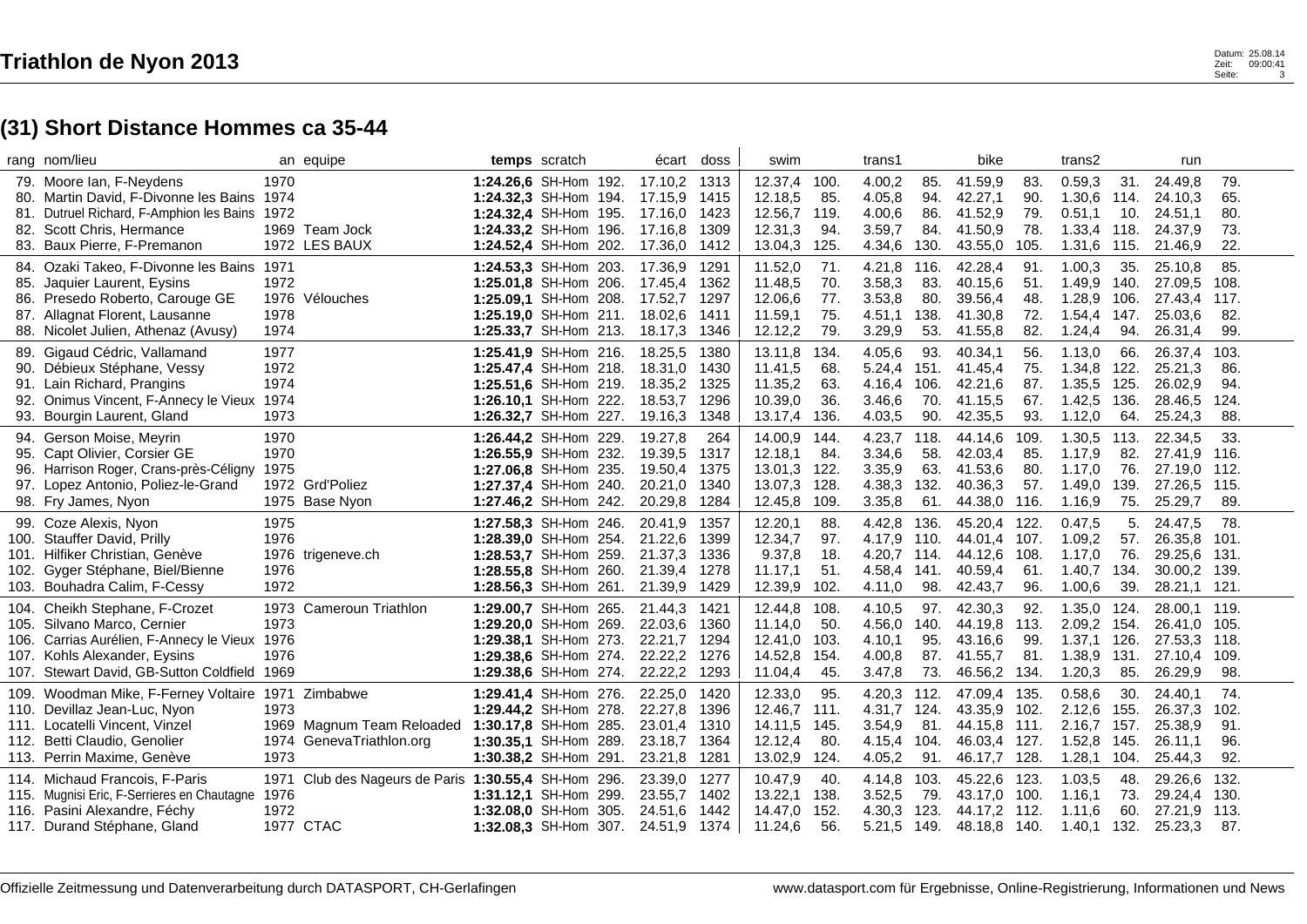|      | rang nom/lieu                                                                      |              | an equipe                                       |                                                | temps scratch | écart              | doss         | swim               |              | trans1           |             | bike               |              | trans2                     |             | run                          |              |
|------|------------------------------------------------------------------------------------|--------------|-------------------------------------------------|------------------------------------------------|---------------|--------------------|--------------|--------------------|--------------|------------------|-------------|--------------------|--------------|----------------------------|-------------|------------------------------|--------------|
|      | 79. Moore Ian, F-Neydens<br>80. Martin David, F-Divonne les Bains 1974             | 1970         |                                                 | 1:24.26.6 SH-Hom 192.<br>1:24.32,3 SH-Hom 194. |               | 17.10,2<br>17.15,9 | 1313<br>1415 | 12.37,4<br>12.18,5 | 100.<br>85.  | 4.00,2<br>4.05,8 | 85.<br>94.  | 41.59,9<br>42.27,1 | 83.<br>90.   | 0.59.3<br>1.30,6           | 31.<br>114. | 24.49,8<br>24.10,3           | 79.<br>65.   |
|      | 81. Dutruel Richard, F-Amphion les Bains 1972<br>82. Scott Chris, Hermance         |              | 1969 Team Jock                                  | 1:24.32,4 SH-Hom 195.<br>1:24.33.2 SH-Hom 196. |               | 17.16,0<br>17.16,8 | 1423<br>1309 | 12.56,7<br>12.31,3 | 119.<br>94.  | 4.00,6<br>3.59,7 | 86.<br>84.  | 41.52,9<br>41.50,9 | 79.<br>78.   | 0.51,1<br>1.33,4           | 10.<br>118. | 24.51,1<br>24.37,9           | 80.<br>73.   |
|      | 83. Baux Pierre, F-Premanon                                                        |              | 1972 LES BAUX                                   | 1:24.52,4 SH-Hom 202.                          |               | 17.36,0            | 1412         | 13.04,3            | 125.         | 4.34,6           | 130.        | 43.55,0            | 105.         | 1.31,6                     | 115.        | 21.46,9                      | 22.          |
|      | 84. Ozaki Takeo, F-Divonne les Bains 1971                                          | 1972         |                                                 | 1:24.53,3 SH-Hom 203.<br>1:25.01.8 SH-Hom 206. |               | 17.36,9<br>17.45,4 | 1291<br>1362 | 11.52,0<br>11.48,5 | 71.<br>70.   | 4.21,8<br>3.58,3 | 116.<br>83. | 42.28,4            | 91.<br>51.   | 1.00,3<br>1.49,9           | 35.<br>140. | 25.10,8<br>27.09,5           | 85.<br>108.  |
| 85.  | Jaquier Laurent, Eysins<br>86. Presedo Roberto, Carouge GE                         | 1976         | Vélouches                                       | 1:25.09,1 SH-Hom 208.                          |               | 17.52,7            | 1297         | 12.06,6            | 77.          | 3.53,8           | 80.         | 40.15,6<br>39.56,4 | 48.          | 1.28,9                     | 106.        | 27.43,4                      | 117.         |
|      | 87. Allagnat Florent, Lausanne                                                     | 1978         |                                                 | 1:25.19,0 SH-Hom 211.                          |               | 18.02,6            | 1411         | 11.59,1            | 75.          | 4.51,1           | 138.        | 41.30,8            | 72.          | 1.54,4                     | 147.        | 25.03,6                      | 82.          |
|      | 88. Nicolet Julien, Athenaz (Avusy)                                                | 1974         |                                                 | 1:25.33,7 SH-Hom 213.                          |               | 18.17,3            | 1346         | 12.12,2            | 79.          | 3.29,9           | 53.         | 41.55,8            | 82.          | 1.24,4                     | 94.         | 26.31,4                      | 99.          |
| 89.  | Gigaud Cédric, Vallamand                                                           | 1977         |                                                 | 1:25.41,9 SH-Hom 216.                          |               | 18.25,5            | 1380         | 13.11,8            | 134.         | 4.05,6           | 93.         | 40.34,1            | 56.          | 1.13,0                     | 66.         | 26.37,4                      | 103.         |
|      | 90. Débieux Stéphane, Vessy                                                        | 1972<br>1974 |                                                 | 1:25.47,4 SH-Hom 218.                          |               | 18.31,0            | 1430         | 11.41,5            | 68.<br>63.   | 5.24,4           | 151.        | 41.45,4            | 75.          | 1.34,8                     | 122.        | 25.21,3                      | 86.<br>94.   |
| 92.  | 91. Lain Richard, Prangins<br>Onimus Vincent, F-Annecy le Vieux 1974               |              |                                                 | 1:25.51,6 SH-Hom 219.<br>1:26.10,1 SH-Hom 222. |               | 18.35,2<br>18.53,7 | 1325<br>1296 | 11.35,2<br>10.39,0 | 36.          | 4.16,4<br>3.46,6 | 106.<br>70. | 42.21,6<br>41.15,5 | 87.<br>67.   | 1.35,5 125.<br>1.42,5      | 136.        | 26.02,9<br>28.46,5           | 124.         |
|      | 93. Bourgin Laurent, Gland                                                         | 1973         |                                                 | 1:26.32,7 SH-Hom 227.                          |               | 19.16,3            | 1348         | 13.17,4            | 136.         | 4.03,5           | 90.         | 42.35,5            | 93.          | 1.12,0                     | 64.         | 25.24,3                      | 88.          |
|      | 94. Gerson Moise, Meyrin                                                           | 1970         |                                                 | 1:26.44,2 SH-Hom 229.                          |               | 19.27,8            | 264          | 14.00,9            | 144.         | 4.23,7           | 118.        | 44.14,6            | 109.         | 1.30,5                     | 113.        | 22.34,5                      | 33.          |
| 95.  | Capt Olivier, Corsier GE                                                           | 1970         |                                                 | 1:26.55,9 SH-Hom 232.                          |               | 19.39,5            | 1317         | 12.18,1            | 84.          | 3.34,6           | 58.         | 42.03,4            | 85.          | 1.17,9                     | 82.         | 27.41,9                      | 116.         |
|      | 96. Harrison Roger, Crans-près-Céligny 1975                                        |              |                                                 | 1:27.06,8 SH-Hom 235.                          |               | 19.50,4            | 1375         | 13.01,3            | 122.         | 3.35,9           | 63.         | 41.53,6            | 80.          | 1.17,0                     | 76.         | 27.19.0 112.                 |              |
|      | 97. Lopez Antonio, Poliez-le-Grand<br>98. Fry James, Nyon                          |              | 1972 Grd'Poliez<br>1975 Base Nyon               | 1:27.37,4 SH-Hom 240.<br>1:27.46,2 SH-Hom 242. |               | 20.21,0<br>20.29,8 | 1340<br>1284 | 13.07,3<br>12.45,8 | 128.<br>109. | 4.38,3<br>3.35,8 | 132.<br>61. | 40.36,3<br>44.38,0 | 57.<br>116.  | 1.49,0<br>1.16,9           | 139.<br>75. | 27.26,5<br>25.29,7           | 115.<br>89.  |
|      | 99. Coze Alexis, Nyon                                                              | 1975         |                                                 | 1:27.58,3 SH-Hom 246.                          |               | 20.41,9            | 1357         | 12.20,1            | 88.          | 4.42,8           | 136.        | 45.20,4            | 122.         | 0.47,5                     | 5.          | 24.47,5                      | 78.          |
|      | 100. Stauffer David, Prilly                                                        | 1976         |                                                 | 1:28.39.0 SH-Hom 254.                          |               | 21.22,6            | 1399         | 12.34,7            | 97.          | 4.17,9           | 110.        | 44.01,4            | 107.         | 1.09,2                     | 57.         | 26.35,8                      | 101.         |
|      | 101. Hilfiker Christian, Genève                                                    |              | 1976 trigeneve.ch                               | 1:28.53,7 SH-Hom 259.                          |               | 21.37,3            | 1336         | 9.37,8             | 18.          | 4.20,7           | 114.        | 44.12,6            | 108.         | 1.17,0                     | 76.         | 29.25,6                      | 131.         |
| 102. | Gyger Stéphane, Biel/Bienne                                                        | 1976         |                                                 | 1:28.55,8 SH-Hom 260.                          |               | 21.39,4            | 1278         | 11.17,1            | 51.          | 4.58,4           | 141.        | 40.59,4            | 61.          | 1.40,7                     | 134.        | 30.00,2                      | 139.         |
|      | 103. Bouhadra Calim, F-Cessy                                                       | 1972         |                                                 | 1:28.56,3 SH-Hom 261.                          |               | 21.39,9            | 1429         | 12.39,9            | 102.         | 4.11,0           | 98.         | 42.43,7            | 96.          | 1.00,6                     | 39.         | 28.21,1                      | 121.         |
|      | 104. Cheikh Stephane, F-Crozet                                                     | 1973         | <b>Cameroun Triathlon</b>                       | 1:29.00,7 SH-Hom 265.                          |               | 21.44,3            | 1421         | 12.44,8            | 108.         | 4.10,5           | 97.         | 42.30,3            | 92.          | 1.35,0                     | 124.        | 28.00,1 119.                 |              |
|      | 105. Silvano Marco, Cernier<br>106. Carrias Aurélien, F-Annecy le Vieux 1976       | 1973         |                                                 | 1:29.20.0 SH-Hom 269.<br>1:29.38.1 SH-Hom 273. |               | 22.03,6<br>22.21,7 | 1360<br>1294 | 11.14,0<br>12.41,0 | 50.<br>103.  | 4.56,0<br>4.10,1 | 140.<br>95. | 44.19,8<br>43.16,6 | 113.<br>99.  | 2.09,2 154.<br>1.37,1 126. |             | 26.41,0 105.<br>27.53,3 118. |              |
|      | 107. Kohls Alexander, Eysins                                                       | 1976         |                                                 | 1:29.38,6 SH-Hom 274.                          |               | 22.22,2            | 1276         | 14.52,8            | 154.         | 4.00,8           | 87.         | 41.55,7            | 81.          | 1.38,9                     | 131.        | 27.10,4                      | 109.         |
|      | 107. Stewart David, GB-Sutton Coldfield 1969                                       |              |                                                 | 1:29.38,6 SH-Hom 274.                          |               | 22.22,2            | 1293         | 11.04,4            | 45.          | 3.47,8           | 73.         | 46.56,2            | 134.         | 1.20,3                     | 85.         | 26.29,9                      | 98.          |
|      | 109. Woodman Mike, F-Ferney Voltaire 1971 Zimbabwe                                 |              |                                                 | 1:29.41,4 SH-Hom 276.                          |               | 22.25,0            | 1420         | 12.33,0            | 95.          | 4.20,3           | 112.        | 47.09,4            | 135.         | 0.58,6                     | 30.         | 24.40,1                      | 74.          |
|      | 110. Devillaz Jean-Luc, Nyon                                                       | 1973         |                                                 | 1:29.44,2 SH-Hom 278.                          |               | 22.27,8            | 1396         | 12.46,7            | 111.         | 4.31,7           | 124.        | 43.35,9            | 102.         | 2.12,6                     | 155.        | 26.37,3                      | 102.         |
|      | 111. Locatelli Vincent, Vinzel                                                     |              | 1969 Magnum Team Reloaded 1:30.17,8 SH-Hom 285. |                                                |               | 23.01,4            | 1310         | 14.11,5            | 145.         | 3.54,9           | 81.         | 44.15,8            | 111.         | 2.16,7                     | 157.        | 25.38,9                      | 91.          |
|      | 112. Betti Claudio, Genolier                                                       | 1974<br>1973 | GenevaTriathlon.org                             | 1:30.35,1 SH-Hom 289.                          |               | 23.18,7            | 1364         | 12.12,4            | 80.          | 4.15,4           | 104.        | 46.03,4 127.       |              | 1.52,8                     | 145.        | 26.11,1                      | 96.<br>92.   |
|      | 113. Perrin Maxime, Genève                                                         |              |                                                 | 1:30.38,2 SH-Hom 291.                          |               | 23.21,8            | 1281         | 13.02,9            | 124.         | 4.05,2           | 91.         | 46.17,7            | 128.         | 1.28,1                     | 104.        | 25.44,3                      |              |
|      | 114. Michaud Francois, F-Paris<br>115. Mugnisi Eric, F-Serrieres en Chautagne 1976 | 1971         | Club des Nageurs de Paris 1:30.55,4 SH-Hom 296. | 1:31.12,1 SH-Hom 299.                          |               | 23.39,0<br>23.55,7 | 1277<br>1402 | 10.47,9<br>13.22,1 | 40.<br>138.  | 4.14,8<br>3.52,5 | 103.<br>79. | 45.22,6<br>43.17,0 | 123.<br>100. | 1.03,5<br>1.16,1           | 48.<br>73.  | 29.26,6<br>29.24,4           | 132.<br>130. |
|      | 116. Pasini Alexandre, Féchy                                                       | 1972         |                                                 | 1:32.08.0 SH-Hom 305.                          |               | 24.51,6            | 1442         | 14.47,0            | 152.         | 4.30,3           | 123.        | 44.17,2            | 112.         | 1.11,6                     | 60.         | 27.21,9                      | 113.         |
|      | 117. Durand Stéphane, Gland                                                        |              | 1977 CTAC                                       | 1:32.08,3 SH-Hom 307.                          |               | 24.51,9            | 1374         | 11.24,6            | 56.          | 5.21,5           | 149.        | 48.18,8 140.       |              | 1.40,1                     | 132.        | 25.23,3                      | 87.          |

 $\mathbf{r}$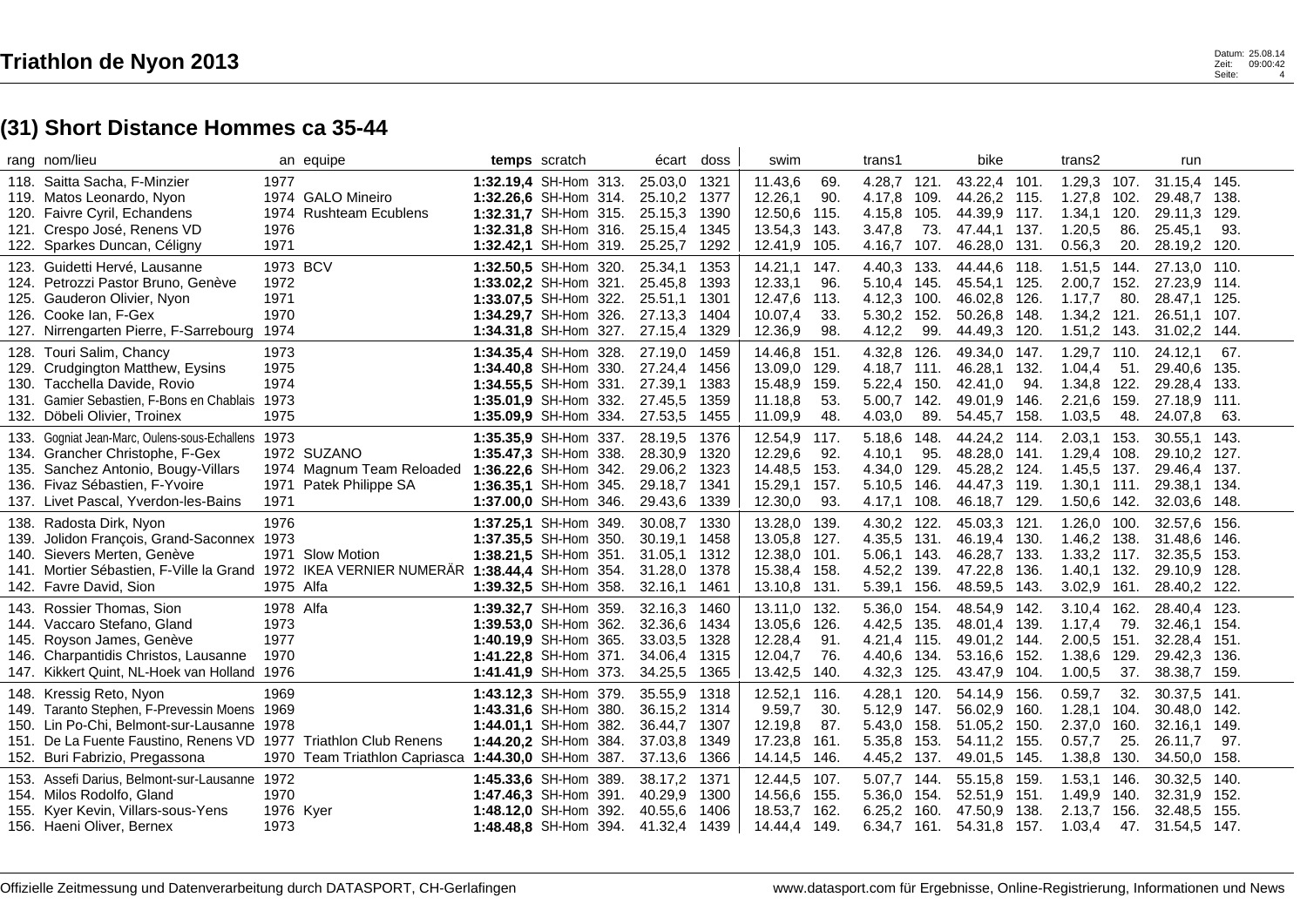|                      | rang nom/lieu                                                                                                                                                                                                               |                                   | an equipe                                                                           |                                                                                                                           | temps scratch | écart                                               | doss                                 | swim                                                     |                                    | trans1                                              |                                      | bike                                                     |                                      | trans2                                                          |                                    | run                                                                |                                     |
|----------------------|-----------------------------------------------------------------------------------------------------------------------------------------------------------------------------------------------------------------------------|-----------------------------------|-------------------------------------------------------------------------------------|---------------------------------------------------------------------------------------------------------------------------|---------------|-----------------------------------------------------|--------------------------------------|----------------------------------------------------------|------------------------------------|-----------------------------------------------------|--------------------------------------|----------------------------------------------------------|--------------------------------------|-----------------------------------------------------------------|------------------------------------|--------------------------------------------------------------------|-------------------------------------|
| 120.<br>121.         | 118. Saitta Sacha, F-Minzier<br>119. Matos Leonardo, Nyon<br>Faivre Cyril, Echandens<br>Crespo José, Renens VD<br>122. Sparkes Duncan, Céligny                                                                              | 1977<br>1976<br>1971              | 1974 GALO Mineiro<br>1974 Rushteam Ecublens                                         | 1:32.19,4 SH-Hom 313.<br>1:32.26.6 SH-Hom 314.<br>1:32.31,7 SH-Hom 315.<br>1:32.31,8 SH-Hom 316.<br>1:32.42,1 SH-Hom 319. |               | 25.03,0<br>25.10,2<br>25.15,3<br>25.15,4<br>25.25,7 | 1321<br>1377<br>1390<br>1345<br>1292 | 11.43,6<br>12.26,1<br>12.50,6<br>13.54,3<br>12.41,9      | 69.<br>90.<br>115.<br>143.<br>105. | 4.28,7<br>4.17,8<br>4.15,8<br>3.47.8<br>4.16,7      | 121.<br>109.<br>105.<br>73.<br>107.  | 43.22,4 101.<br>44.26,2<br>44.39,9<br>47.44,1<br>46.28,0 | 115.<br>117.<br>137.<br>131.         | 1.29,3 107.<br>1.27,8<br>$1.34,1$ 120.<br>1.20,5<br>0.56,3      | 102.<br>86.<br>20.                 | 31.15,4 145.<br>29.48,7<br>29.11,3<br>25.45,1<br>28.19,2 120.      | 138.<br>129.<br>93.                 |
| 123.<br>124.         | Guidetti Hervé, Lausanne<br>Petrozzi Pastor Bruno, Genève<br>125. Gauderon Olivier, Nyon<br>126. Cooke Ian, F-Gex<br>127. Nirrengarten Pierre, F-Sarrebourg 1974                                                            | 1973 BCV<br>1972<br>1971<br>1970  |                                                                                     | 1:32.50,5 SH-Hom 320.<br>1:33.02,2 SH-Hom 321.<br>1:33.07,5 SH-Hom 322.<br>1:34.29.7 SH-Hom 326.<br>1:34.31,8 SH-Hom 327. |               | 25.34,1<br>25.45,8<br>25.51,1<br>27.13,3<br>27.15,4 | 1353<br>1393<br>1301<br>1404<br>1329 | 14.21,1<br>12.33,1<br>12.47,6<br>10.07,4<br>12.36,9      | 147.<br>96.<br>113.<br>33.<br>98.  | 4.40,3<br>5.10.4<br>4.12,3<br>5.30.2<br>4.12,2      | 133.<br>145.<br>100.<br>152.<br>99.  | 44.44,6<br>45.54,1<br>46.02,8<br>50.26.8<br>44.49,3      | 118.<br>125.<br>126.<br>148.<br>120. | 1.51,5 144.<br>2.00,7<br>1.17,7<br>1.34,2<br>1.51,2 143.        | 152.<br>80.<br>121.                | 27.13,0 110.<br>27.23,9 114.<br>28.47,1<br>26.51.1<br>31.02,2 144. | 125.<br>107.                        |
| 128.<br>131.<br>132. | Touri Salim, Chancy<br>129. Crudgington Matthew, Eysins<br>130. Tacchella Davide, Rovio<br>Gamier Sebastien, F-Bons en Chablais 1973<br>Döbeli Olivier, Troinex                                                             | 1973<br>1975<br>1974<br>1975      |                                                                                     | 1:34.35.4 SH-Hom 328.<br>1:34.40,8 SH-Hom 330.<br>1:34.55,5 SH-Hom 331.<br>1:35.01.9 SH-Hom 332.<br>1:35.09,9 SH-Hom 334. |               | 27.19,0<br>27.24,4<br>27.39,1<br>27.45,5<br>27.53,5 | 1459<br>1456<br>1383<br>1359<br>1455 | 14.46.8<br>13.09,0 129.<br>15.48,9<br>11.18,8<br>11.09,9 | 151.<br>159.<br>53.<br>48.         | 4.32.8<br>4.18.7 111.<br>5.22,4<br>5.00,7<br>4.03,0 | 126.<br>150.<br>142.<br>89.          | 49.34.0<br>46.28,1<br>42.41,0<br>49.01,9<br>54.45,7      | 147.<br>132.<br>94.<br>146.<br>158.  | 1.29,7<br>1.04,4<br>1.34,8 122.<br>2.21,6<br>1.03,5             | 110.<br>51.<br>159.<br>48.         | 24.12.1<br>29.40,6 135.<br>29.28,4 133.<br>27.18,9 111.<br>24.07,8 | 67.<br>63.                          |
| 136.                 | 133. Gogniat Jean-Marc, Oulens-sous-Echallens 1973<br>134. Grancher Christophe, F-Gex<br>135. Sanchez Antonio, Bougy-Villars<br>Fivaz Sébastien, F-Yvoire<br>137. Livet Pascal, Yverdon-les-Bains                           | 1971<br>1971                      | 1972 SUZANO<br>1974 Magnum Team Reloaded 1:36.22,6 SH-Hom 342.<br>Patek Philippe SA | 1:35.35.9 SH-Hom 337.<br>1:35.47,3 SH-Hom 338.<br>1:36.35.1 SH-Hom 345.<br>1:37.00,0 SH-Hom 346.                          |               | 28.19,5<br>28.30,9<br>29.06,2<br>29.18,7<br>29.43,6 | 1376<br>1320<br>1323<br>1341<br>1339 | 12.54,9 117.<br>12.29,6<br>14.48,5<br>15.29,1<br>12.30,0 | 92.<br>153.<br>157.<br>93.         | 5.18,6<br>4.10,1<br>4.34,0<br>5.10,5<br>4.17,1      | 148.<br>95.<br>129.<br>146.<br>108.  | 44.24,2 114.<br>48.28,0<br>45.28,2<br>44.47,3<br>46.18,7 | 141.<br>124.<br>119.<br>129.         | 2.03,1<br>1.29,4 108.<br>1.45,5 137.<br>$1.30,1$ 111.<br>1.50,6 | 153.<br>142.                       | 30.55.1<br>29.10,2<br>29.46,4 137.<br>29.38,1<br>32.03,6           | 143.<br>127.<br>134.<br>148.        |
| 138.<br>139.<br>140. | Radosta Dirk, Nyon<br>Jolidon François, Grand-Saconnex 1973<br>Sievers Merten, Genève<br>141. Mortier Sébastien, F-Ville la Grand 1972 IKEA VERNIER NUMERÄR 1:38.44,4 SH-Hom 354.<br>142. Favre David, Sion                 | 1976<br>1975 Alfa                 | 1971 Slow Motion                                                                    | 1:37.25,1 SH-Hom 349.<br>1:37.35,5 SH-Hom 350.<br>1:38.21.5 SH-Hom 351.<br>1:39.32,5 SH-Hom 358.                          |               | 30.08,7<br>30.19,1<br>31.05,1<br>31.28,0<br>32.16,1 | 1330<br>1458<br>1312<br>1378<br>1461 | 13.28,0<br>13.05,8<br>12.38,0<br>15.38,4<br>13.10,8 131. | 139.<br>127.<br>101.<br>158.       | 4.30.2<br>4.35,5<br>5.06,1<br>4.52,2<br>5.39,1      | 122.<br>131.<br>143.<br>139.<br>156. | 45.03.3<br>46.19,4<br>46.28,7<br>47.22,8<br>48.59,5      | 121.<br>130.<br>133.<br>136.<br>143. | 1.26,0<br>1.46,2 138.<br>$1.33,2$ 117.<br>1.40,1<br>3.02,9      | 100.<br>132.<br>161.               | 32.57,6<br>31.48,6<br>32.35,5<br>29.10,9<br>28.40,2 122.           | 156.<br>146.<br>153.<br>128.        |
| 143.<br>145.         | Rossier Thomas, Sion<br>144. Vaccaro Stefano, Gland<br>Royson James, Genève<br>146. Charpantidis Christos, Lausanne<br>147. Kikkert Quint, NL-Hoek van Holland 1976                                                         | 1978 Alfa<br>1973<br>1977<br>1970 |                                                                                     | 1:39.32,7 SH-Hom 359.<br>1:39.53.0 SH-Hom 362.<br>1:40.19,9 SH-Hom 365.<br>1:41.22,8 SH-Hom 371.<br>1:41.41,9 SH-Hom 373. |               | 32.16,3<br>32.36,6<br>33.03,5<br>34.06,4<br>34.25,5 | 1460<br>1434<br>1328<br>1315<br>1365 | 13.11,0<br>13.05,6<br>12.28,4<br>12.04,7<br>13.42,5      | 132.<br>126.<br>91.<br>76.<br>140. | 5.36,0<br>4.42,5 135.<br>4.21,4<br>4.40,6<br>4.32,3 | 154.<br>-115.<br>134.<br>125.        | 48.54,9<br>48.01,4<br>49.01,2<br>53.16,6<br>43.47,9      | 142.<br>139.<br>144.<br>152.<br>104. | 3.10,4<br>1.17,4<br>2.00,5<br>1.38,6<br>1.00,5                  | 162.<br>79.<br>151.<br>129.<br>37. | 28.40,4<br>32.46,1<br>32.28,4 151.<br>29.42,3<br>38.38,7           | 123.<br>154.<br>136.<br>159.        |
|                      | 148. Kressig Reto, Nyon<br>149. Taranto Stephen, F-Prevessin Moens 1969<br>150. Lin Po-Chi, Belmont-sur-Lausanne 1978<br>151. De La Fuente Faustino, Renens VD 1977 Triathlon Club Renens<br>152. Buri Fabrizio, Pregassona | 1969<br>1970                      | Team Triathlon Capriasca 1:44.30,0 SH-Hom 387.                                      | 1:43.12,3 SH-Hom 379.<br>1:43.31,6 SH-Hom 380.<br>1:44.01,1 SH-Hom 382.<br>1:44.20,2 SH-Hom 384.                          |               | 35.55,9<br>36.15,2<br>36.44,7<br>37.03,8<br>37.13,6 | 1318<br>1314<br>1307<br>1349<br>1366 | 12.52,1<br>9.59,7<br>12.19,8<br>17.23,8<br>14.14,5       | 116.<br>30.<br>87.<br>161.<br>146. | 4.28,1<br>5.12,9<br>5.43.0<br>5.35,8<br>4.45,2      | 120.<br>147.<br>158.<br>153.<br>137. | 54.14,9<br>56.02,9<br>51.05,2<br>54.11,2<br>49.01,5      | 156.<br>160.<br>150.<br>155.<br>145. | 0.59,7<br>1.28,1<br>2.37,0<br>0.57,7<br>1.38,8                  | 32.<br>104.<br>160.<br>25.<br>130. | 30.37,5<br>30.48,0<br>32.16.1<br>26.11,7<br>34.50,0                | 141.<br>142.<br>149.<br>97.<br>158. |
| 155.                 | 153. Assefi Darius, Belmont-sur-Lausanne 1972<br>154. Milos Rodolfo, Gland<br>Kyer Kevin, Villars-sous-Yens<br>156. Haeni Oliver, Bernex                                                                                    | 1970<br>1976 Kyer<br>1973         |                                                                                     | 1:45.33,6 SH-Hom 389.<br>1:47.46.3 SH-Hom 391.<br>1:48.12,0 SH-Hom 392.<br>1:48.48,8 SH-Hom 394.                          |               | 38.17,2<br>40.29,9<br>40.55,6<br>41.32,4            | 1371<br>1300<br>1406<br>1439         | 12.44,5<br>14.56,6<br>18.53,7<br>14.44,4                 | 107.<br>155.<br>162.<br>149.       | 5.07,7 144.<br>5.36,0 154.<br>6.25,2<br>6.34,7      | 160.<br>161.                         | 55.15,8<br>52.51,9<br>47.50.9<br>54.31,8 157.            | 159.<br>151.<br>138.                 | 1.53,1 146.<br>1.49,9 140.<br>2.13,7<br>1.03,4                  | 156.                               | 30.32,5<br>32.31,9<br>32.48,5<br>47. 31.54,5 147.                  | 140.<br>-152.<br>155.               |

 $\mathbf{r}$